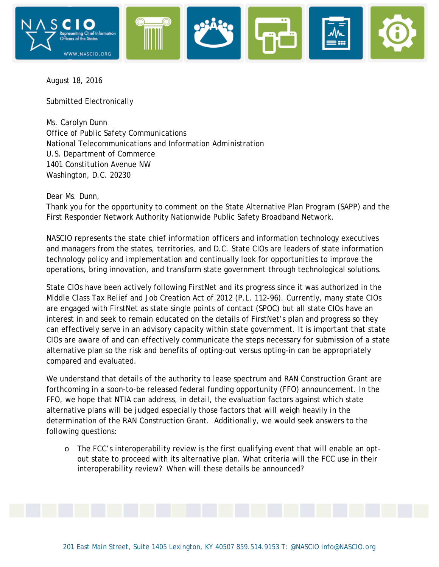

August 18, 2016

Submitted Electronically

Ms. Carolyn Dunn Office of Public Safety Communications National Telecommunications and Information Administration U.S. Department of Commerce 1401 Constitution Avenue NW Washington, D.C. 20230

Dear Ms. Dunn,

Thank you for the opportunity to comment on the State Alternative Plan Program (SAPP) and the First Responder Network Authority Nationwide Public Safety Broadband Network.

NASCIO represents the state chief information officers and information technology executives and managers from the states, territories, and D.C. State CIOs are leaders of state information technology policy and implementation and continually look for opportunities to improve the operations, bring innovation, and transform state government through technological solutions.

State CIOs have been actively following FirstNet and its progress since it was authorized in the Middle Class Tax Relief and Job Creation Act of 2012 (P.L. 112-96). Currently, many state CIOs are engaged with FirstNet as state single points of contact (SPOC) but all state CIOs have an interest in and seek to remain educated on the details of FirstNet's plan and progress so they can effectively serve in an advisory capacity within state government. It is important that state CIOs are aware of and can effectively communicate the steps necessary for submission of a state alternative plan so the risk and benefits of opting-out versus opting-in can be appropriately compared and evaluated.

We understand that details of the authority to lease spectrum and RAN Construction Grant are forthcoming in a soon-to-be released federal funding opportunity (FFO) announcement. In the FFO, we hope that NTIA can address, in detail, the evaluation factors against which state alternative plans will be judged especially those factors that will weigh heavily in the determination of the RAN Construction Grant. Additionally, we would seek answers to the following questions:

o The FCC's interoperability review is the first qualifying event that will enable an optout state to proceed with its alternative plan. What criteria will the FCC use in their interoperability review? When will these details be announced?